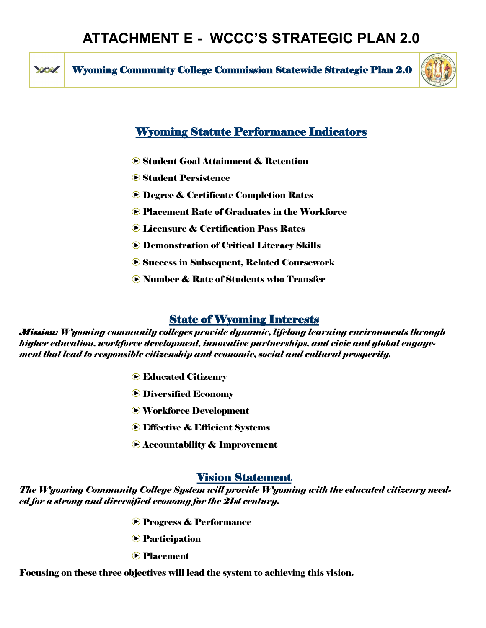**RANT** 

Wyoming Community College Commission Statewide Strategic Plan 2.0



# Wyoming Statute Performance Indicators

- **Student Goal Attainment & Retention**
- **Student Persistence**
- *►* **Degree & Certificate Completion Rates**
- **▶ Placement Rate of Graduates in the Workforce**
- Licensure & Certification Pass Rates
- Demonstration of Critical Literacy Skills
- **► Success in Subsequent, Related Coursework**
- Number & Rate of Students who Transfer

## State of Wyoming Interests

*Mission: Wyoming community colleges provide dynamic, lifelong learning environments through higher education, workforce development, innovative partnerships, and civic and global engagement that lead to responsible citizenship and economic, social and cultural prosperity.* 

- **► Educated Citizenry**
- **Diversified Economy**
- **► Workforce Development**
- **Effective & Efficient Systems**
- **▶ Accountability & Improvement**

### Vision Statement

*The Wyoming Community College System will provide Wyoming with the educated citizenry needed for a strong and diversified economy for the 21st century.* 

- **Progress & Performance**
- **Participation**
- **Placement**

Focusing on these three objectives will lead the system to achieving this vision.